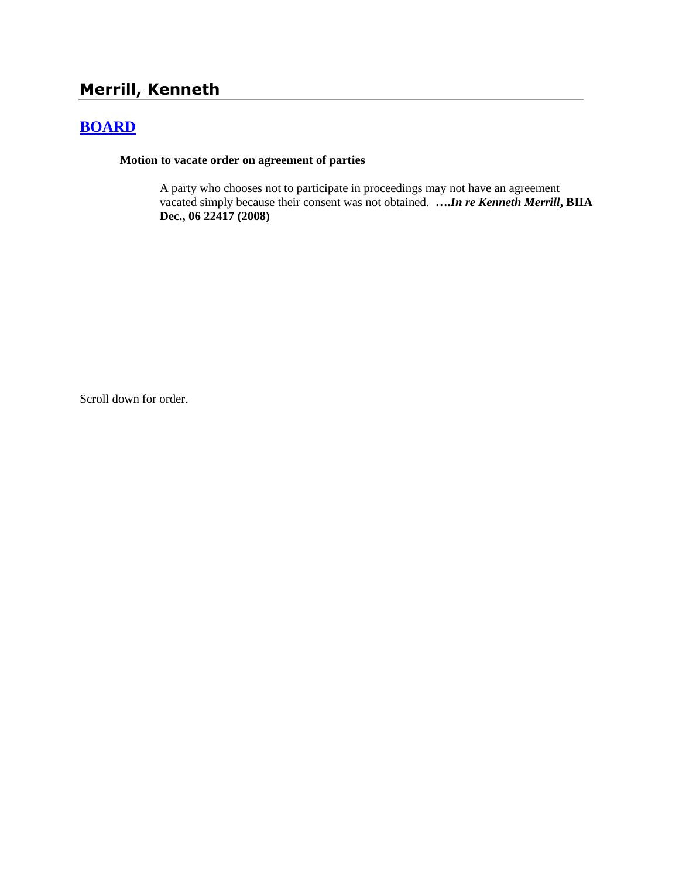# **Merrill, Kenneth**

## **[BOARD](http://www.biia.wa.gov/SDSubjectIndex.html#BOARD)**

### **Motion to vacate order on agreement of parties**

A party who chooses not to participate in proceedings may not have an agreement vacated simply because their consent was not obtained. **….***In re Kenneth Merrill***, BIIA Dec., 06 22417 (2008)**

Scroll down for order.